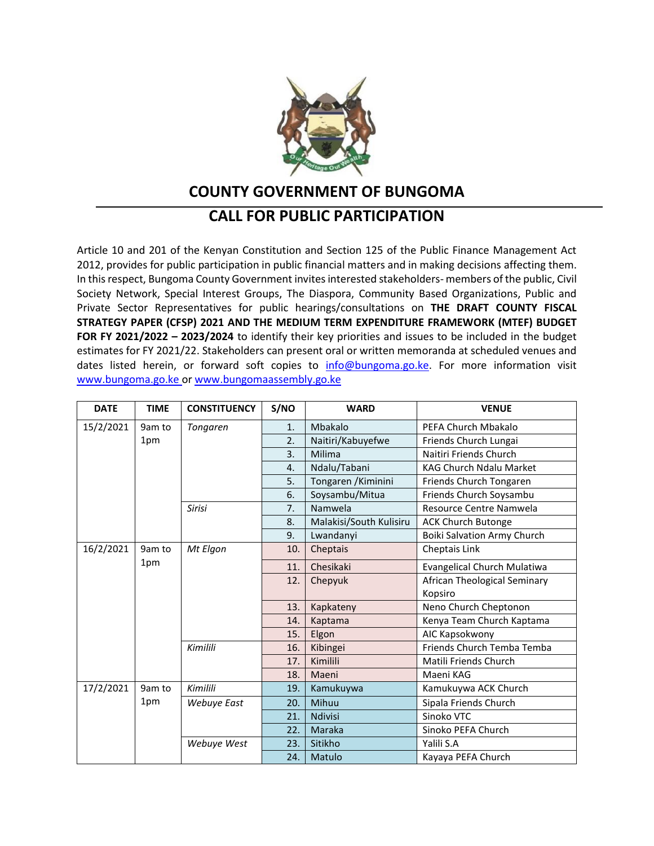

## **COUNTY GOVERNMENT OF BUNGOMA**

## **CALL FOR PUBLIC PARTICIPATION**

Article 10 and 201 of the Kenyan Constitution and Section 125 of the Public Finance Management Act 2012, provides for public participation in public financial matters and in making decisions affecting them. In this respect, Bungoma County Government invites interested stakeholders- members of the public, Civil Society Network, Special Interest Groups, The Diaspora, Community Based Organizations, Public and Private Sector Representatives for public hearings/consultations on **THE DRAFT COUNTY FISCAL STRATEGY PAPER (CFSP) 2021 AND THE MEDIUM TERM EXPENDITURE FRAMEWORK (MTEF) BUDGET FOR FY 2021/2022 – 2023/2024** to identify their key priorities and issues to be included in the budget estimates for FY 2021/22. Stakeholders can present oral or written memoranda at scheduled venues and dates listed herein, or forward soft copies to [info@bungoma.go.ke.](mailto:info@bungoma.go.ke) For more information visit www.bungoma.go.ke or www.bungomaassembly.go.ke

| <b>DATE</b> | <b>TIME</b> | <b>CONSTITUENCY</b> | S/NO | <b>WARD</b>             | <b>VENUE</b>                       |
|-------------|-------------|---------------------|------|-------------------------|------------------------------------|
| 15/2/2021   | 9am to      | Tongaren            | 1.   | Mbakalo                 | PEFA Church Mbakalo                |
|             | 1pm         |                     | 2.   | Naitiri/Kabuyefwe       | Friends Church Lungai              |
|             |             |                     | 3.   | Milima                  | Naitiri Friends Church             |
|             |             |                     | 4.   | Ndalu/Tabani            | KAG Church Ndalu Market            |
|             |             |                     | 5.   | Tongaren / Kiminini     | Friends Church Tongaren            |
|             |             |                     | 6.   | Soysambu/Mitua          | Friends Church Soysambu            |
|             |             | <b>Sirisi</b>       | 7.   | Namwela                 | Resource Centre Namwela            |
|             |             |                     | 8.   | Malakisi/South Kulisiru | <b>ACK Church Butonge</b>          |
|             |             |                     | 9.   | Lwandanyi               | <b>Boiki Salvation Army Church</b> |
| 16/2/2021   | 9am to      | Mt Elgon            | 10.  | Cheptais                | Cheptais Link                      |
|             | 1pm         |                     | 11.  | Chesikaki               | <b>Evangelical Church Mulatiwa</b> |
|             |             |                     | 12.  | Chepyuk                 | African Theological Seminary       |
|             |             |                     |      |                         | Kopsiro                            |
|             |             |                     | 13.  | Kapkateny               | Neno Church Cheptonon              |
|             |             |                     | 14.  | Kaptama                 | Kenya Team Church Kaptama          |
|             |             |                     | 15.  | Elgon                   | AIC Kapsokwony                     |
|             |             | Kimilili            | 16.  | Kibingei                | Friends Church Temba Temba         |
|             |             |                     | 17.  | Kimilili                | Matili Friends Church              |
|             |             |                     | 18.  | Maeni                   | Maeni KAG                          |
| 17/2/2021   | 9am to      | Kimilili            | 19.  | Kamukuywa               | Kamukuywa ACK Church               |
|             | 1pm         | Webuye East         | 20.  | Mihuu                   | Sipala Friends Church              |
|             |             |                     | 21.  | <b>Ndivisi</b>          | Sinoko VTC                         |
|             |             |                     | 22.  | Maraka                  | Sinoko PEFA Church                 |
|             |             | Webuye West         | 23.  | Sitikho                 | Yalili S.A                         |
|             |             |                     | 24.  | Matulo                  | Kayaya PEFA Church                 |